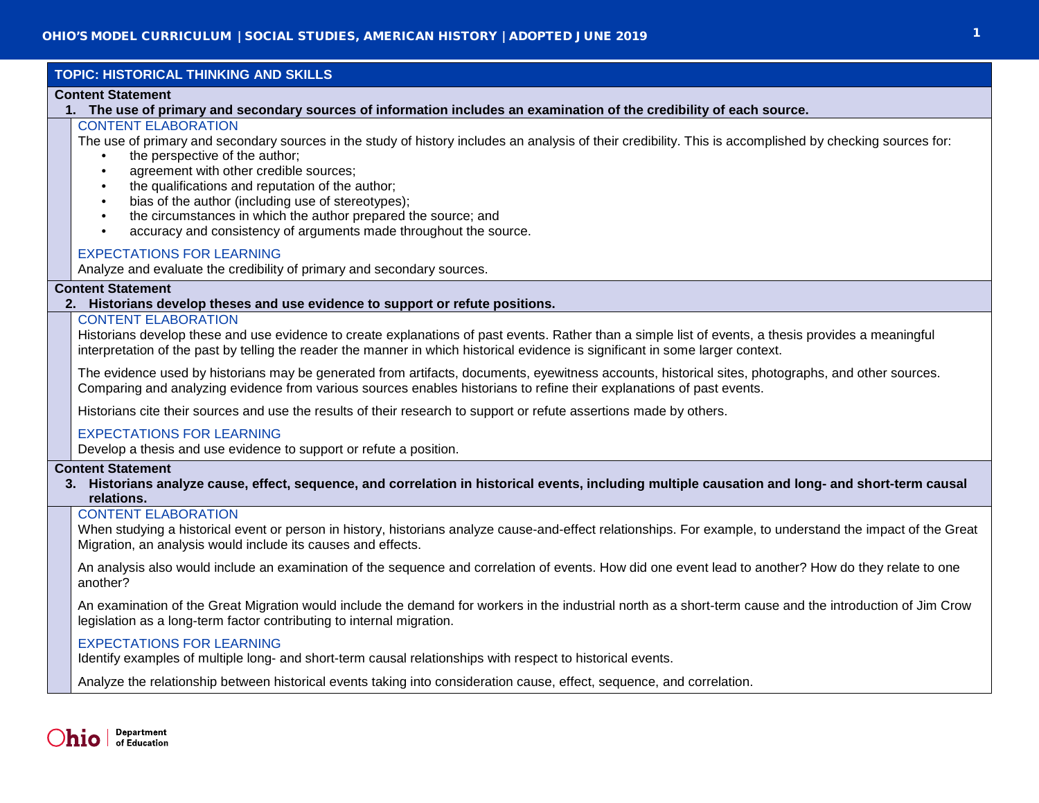# **TOPIC: HISTORICAL THINKING AND SKILLS**

## **Content Statement**

**1. The use of primary and secondary sources of information includes an examination of the credibility of each source.**

# CONTENT ELABORATION

The use of primary and secondary sources in the study of history includes an analysis of their credibility. This is accomplished by checking sources for:

- the perspective of the author:
- agreement with other credible sources;
- the qualifications and reputation of the author;
- bias of the author (including use of stereotypes);
- the circumstances in which the author prepared the source; and
- accuracy and consistency of arguments made throughout the source.

# EXPECTATIONS FOR LEARNING

Analyze and evaluate the credibility of primary and secondary sources.

# **Content Statement**

# **2. Historians develop theses and use evidence to support or refute positions.**

## CONTENT ELABORATION

Historians develop these and use evidence to create explanations of past events. Rather than a simple list of events, a thesis provides a meaningful interpretation of the past by telling the reader the manner in which historical evidence is significant in some larger context.

The evidence used by historians may be generated from artifacts, documents, eyewitness accounts, historical sites, photographs, and other sources. Comparing and analyzing evidence from various sources enables historians to refine their explanations of past events.

Historians cite their sources and use the results of their research to support or refute assertions made by others.

# EXPECTATIONS FOR LEARNING

Develop a thesis and use evidence to support or refute a position.

## **Content Statement**

**3. Historians analyze cause, effect, sequence, and correlation in historical events, including multiple causation and long- and short-term causal relations.**

# CONTENT ELABORATION

When studying a historical event or person in history, historians analyze cause-and-effect relationships. For example, to understand the impact of the Great Migration, an analysis would include its causes and effects.

An analysis also would include an examination of the sequence and correlation of events. How did one event lead to another? How do they relate to one another?

An examination of the Great Migration would include the demand for workers in the industrial north as a short-term cause and the introduction of Jim Crow legislation as a long-term factor contributing to internal migration.

# EXPECTATIONS FOR LEARNING

Identify examples of multiple long- and short-term causal relationships with respect to historical events.

Analyze the relationship between historical events taking into consideration cause, effect, sequence, and correlation.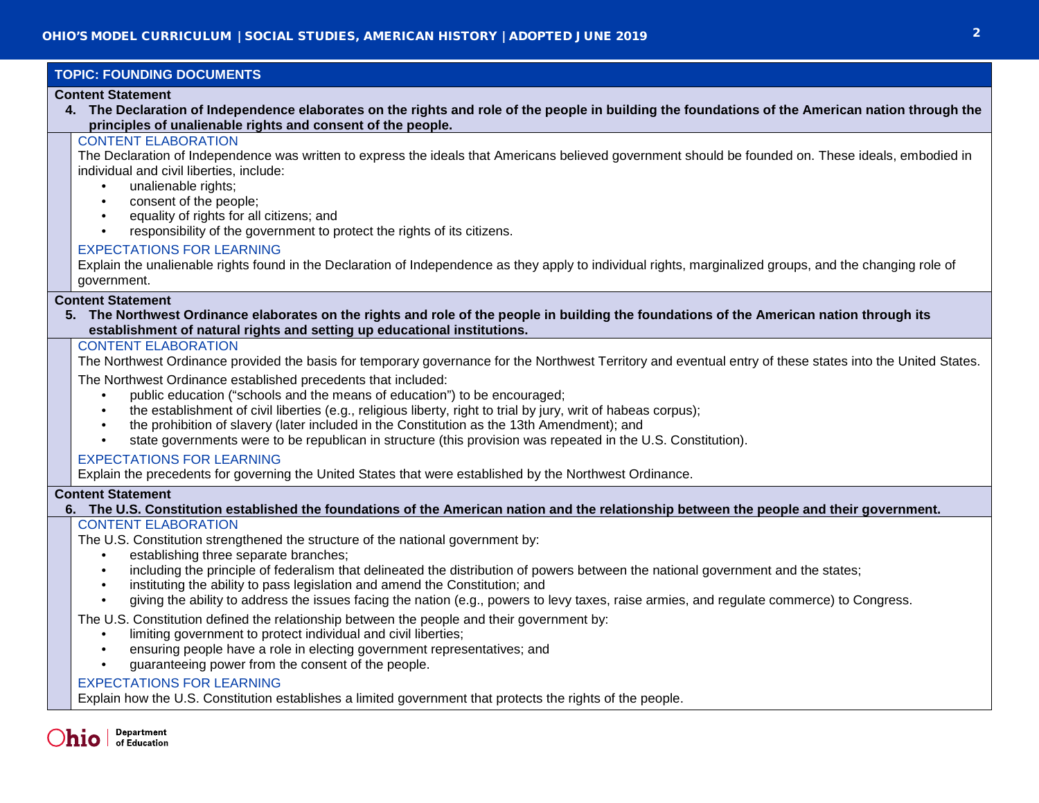# **TOPIC: FOUNDING DOCUMENTS**

## **Content Statement**

**4. The Declaration of Independence elaborates on the rights and role of the people in building the foundations of the American nation through the principles of unalienable rights and consent of the people.**

## CONTENT ELABORATION

The Declaration of Independence was written to express the ideals that Americans believed government should be founded on. These ideals, embodied in individual and civil liberties, include:

- unalienable rights:
- consent of the people;
- equality of rights for all citizens; and
- responsibility of the government to protect the rights of its citizens.

## EXPECTATIONS FOR LEARNING

Explain the unalienable rights found in the Declaration of Independence as they apply to individual rights, marginalized groups, and the changing role of government.

### **Content Statement**

**5. The Northwest Ordinance elaborates on the rights and role of the people in building the foundations of the American nation through its establishment of natural rights and setting up educational institutions.**

## CONTENT ELABORATION

The Northwest Ordinance provided the basis for temporary governance for the Northwest Territory and eventual entry of these states into the United States.

The Northwest Ordinance established precedents that included:

- public education ("schools and the means of education") to be encouraged;
- the establishment of civil liberties (e.g., religious liberty, right to trial by jury, writ of habeas corpus);
- the prohibition of slavery (later included in the Constitution as the 13th Amendment); and
- state governments were to be republican in structure (this provision was repeated in the U.S. Constitution).

# EXPECTATIONS FOR LEARNING

Explain the precedents for governing the United States that were established by the Northwest Ordinance.

## **Content Statement**

**6. The U.S. Constitution established the foundations of the American nation and the relationship between the people and their government.**

## CONTENT ELABORATION

The U.S. Constitution strengthened the structure of the national government by:

- establishing three separate branches;
- including the principle of federalism that delineated the distribution of powers between the national government and the states;
- instituting the ability to pass legislation and amend the Constitution; and
- giving the ability to address the issues facing the nation (e.g., powers to levy taxes, raise armies, and regulate commerce) to Congress.

The U.S. Constitution defined the relationship between the people and their government by:

- limiting government to protect individual and civil liberties;
- ensuring people have a role in electing government representatives; and
- guaranteeing power from the consent of the people.

## EXPECTATIONS FOR LEARNING

Explain how the U.S. Constitution establishes a limited government that protects the rights of the people.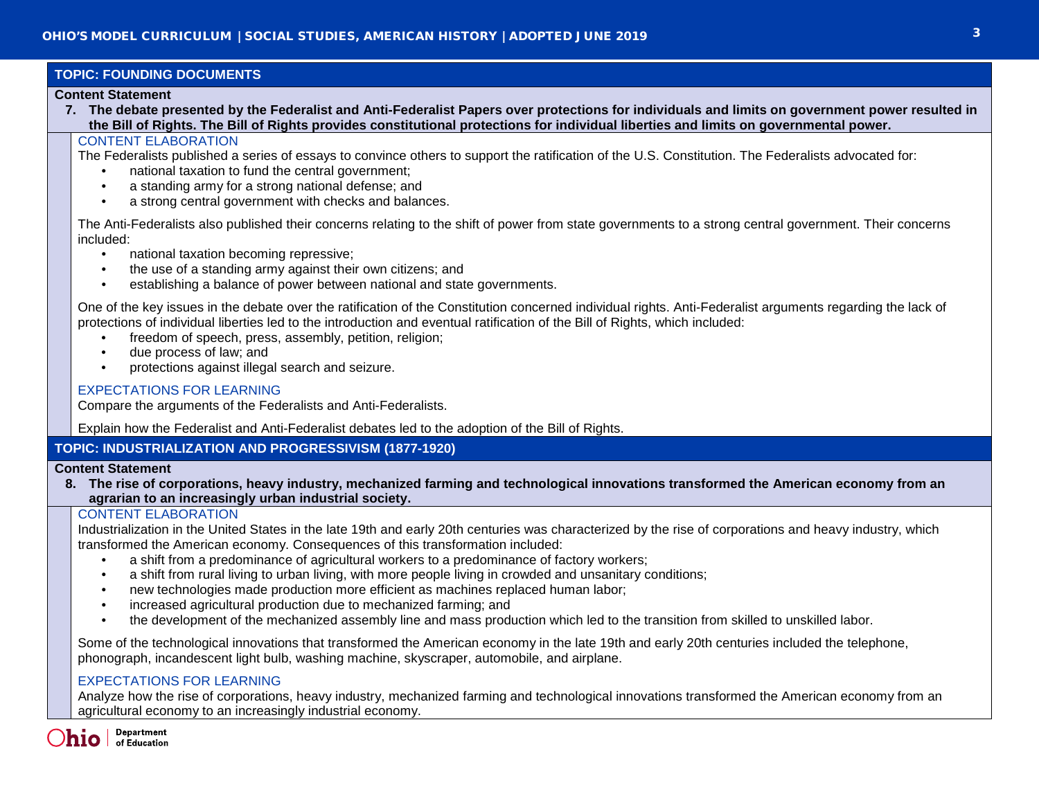# **TOPIC: FOUNDING DOCUMENTS**

## **Content Statement**

**7. The debate presented by the Federalist and Anti-Federalist Papers over protections for individuals and limits on government power resulted in the Bill of Rights. The Bill of Rights provides constitutional protections for individual liberties and limits on governmental power.**

## CONTENT ELABORATION

The Federalists published a series of essays to convince others to support the ratification of the U.S. Constitution. The Federalists advocated for:

- national taxation to fund the central government;
- a standing army for a strong national defense; and
- a strong central government with checks and balances.

The Anti-Federalists also published their concerns relating to the shift of power from state governments to a strong central government. Their concerns included:

- national taxation becoming repressive;
- the use of a standing army against their own citizens; and
- establishing a balance of power between national and state governments.

One of the key issues in the debate over the ratification of the Constitution concerned individual rights. Anti-Federalist arguments regarding the lack of protections of individual liberties led to the introduction and eventual ratification of the Bill of Rights, which included:

- freedom of speech, press, assembly, petition, religion;
- due process of law; and
- protections against illegal search and seizure.

# EXPECTATIONS FOR LEARNING

Compare the arguments of the Federalists and Anti-Federalists.

Explain how the Federalist and Anti-Federalist debates led to the adoption of the Bill of Rights.

# **TOPIC: INDUSTRIALIZATION AND PROGRESSIVISM (1877-1920)**

## **Content Statement**

**8. The rise of corporations, heavy industry, mechanized farming and technological innovations transformed the American economy from an agrarian to an increasingly urban industrial society.**

## CONTENT ELABORATION

Industrialization in the United States in the late 19th and early 20th centuries was characterized by the rise of corporations and heavy industry, which transformed the American economy. Consequences of this transformation included:

- a shift from a predominance of agricultural workers to a predominance of factory workers;
- a shift from rural living to urban living, with more people living in crowded and unsanitary conditions;
- new technologies made production more efficient as machines replaced human labor;
- increased agricultural production due to mechanized farming; and
- the development of the mechanized assembly line and mass production which led to the transition from skilled to unskilled labor.

Some of the technological innovations that transformed the American economy in the late 19th and early 20th centuries included the telephone, phonograph, incandescent light bulb, washing machine, skyscraper, automobile, and airplane.

## EXPECTATIONS FOR LEARNING

Analyze how the rise of corporations, heavy industry, mechanized farming and technological innovations transformed the American economy from an agricultural economy to an increasingly industrial economy.

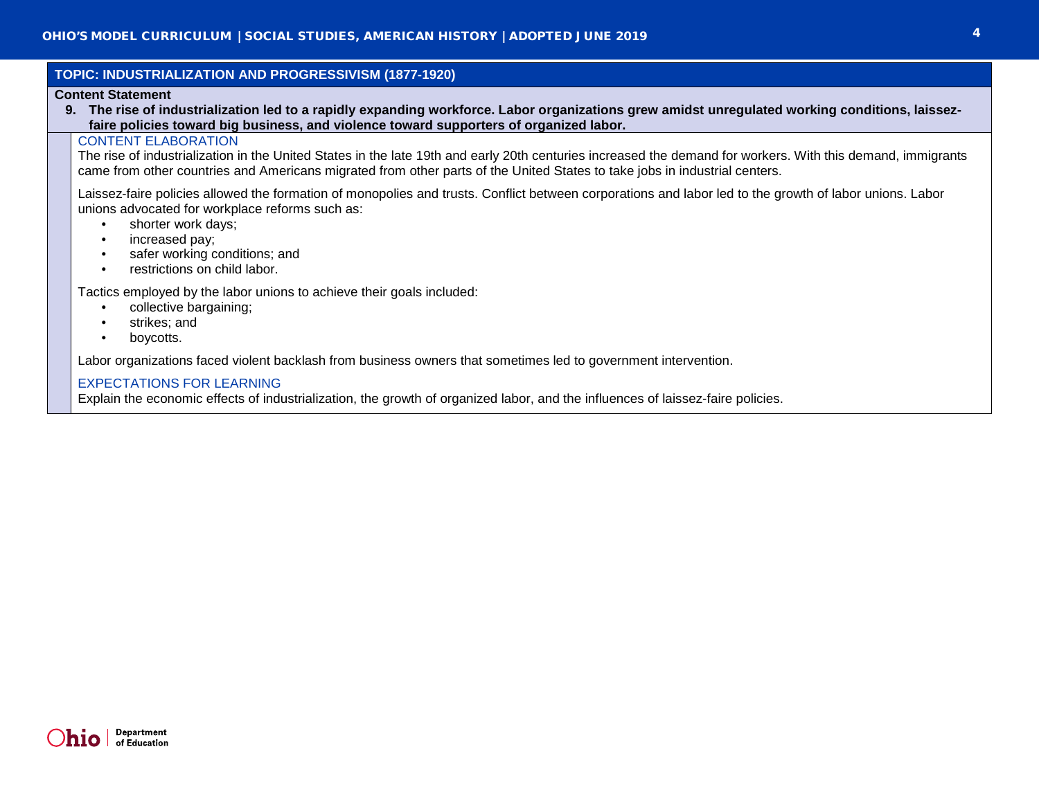| TOPIC: INDUSTRIALIZATION AND PROGRESSIVISM (1877-1920)                                                                                                                                                                                                                                                                                                                  |  |  |  |
|-------------------------------------------------------------------------------------------------------------------------------------------------------------------------------------------------------------------------------------------------------------------------------------------------------------------------------------------------------------------------|--|--|--|
| <b>Content Statement</b><br>The rise of industrialization led to a rapidly expanding workforce. Labor organizations grew amidst unregulated working conditions, laissez-<br>9.<br>faire policies toward big business, and violence toward supporters of organized labor.                                                                                                |  |  |  |
| <b>CONTENT ELABORATION</b><br>The rise of industrialization in the United States in the late 19th and early 20th centuries increased the demand for workers. With this demand, immigrants<br>came from other countries and Americans migrated from other parts of the United States to take jobs in industrial centers.                                                 |  |  |  |
| Laissez-faire policies allowed the formation of monopolies and trusts. Conflict between corporations and labor led to the growth of labor unions. Labor<br>unions advocated for workplace reforms such as:<br>shorter work days;<br>$\bullet$<br>increased pay;<br>$\bullet$<br>safer working conditions; and<br>$\bullet$<br>restrictions on child labor.<br>$\bullet$ |  |  |  |
| Tactics employed by the labor unions to achieve their goals included:<br>collective bargaining;<br>strikes; and<br>$\bullet$<br>boycotts.<br>$\bullet$                                                                                                                                                                                                                  |  |  |  |
| Labor organizations faced violent backlash from business owners that sometimes led to government intervention.                                                                                                                                                                                                                                                          |  |  |  |
| <b>EXPECTATIONS FOR LEARNING</b><br>Explain the economic effects of industrialization, the growth of organized labor, and the influences of laissez-faire policies.                                                                                                                                                                                                     |  |  |  |
|                                                                                                                                                                                                                                                                                                                                                                         |  |  |  |

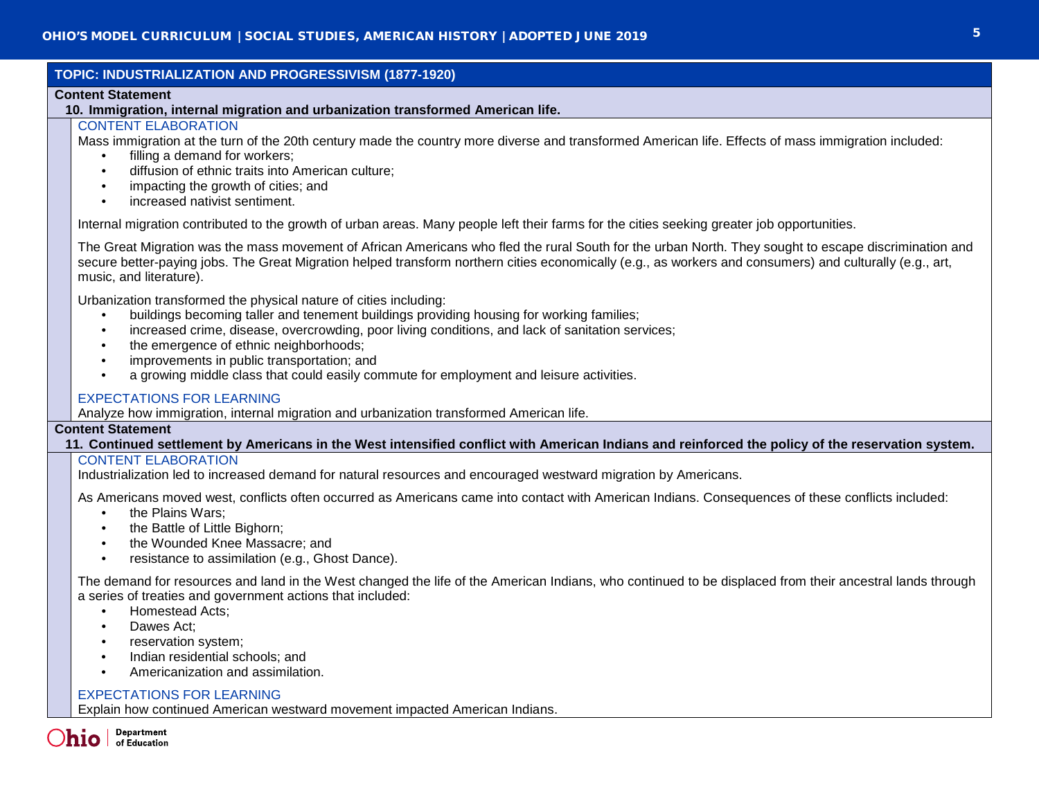# **TOPIC: INDUSTRIALIZATION AND PROGRESSIVISM (1877-1920)**

## **Content Statement**

## **10. Immigration, internal migration and urbanization transformed American life.**

## CONTENT ELABORATION

Mass immigration at the turn of the 20th century made the country more diverse and transformed American life. Effects of mass immigration included:

- filling a demand for workers:
- diffusion of ethnic traits into American culture;
- impacting the growth of cities; and
- increased nativist sentiment.

Internal migration contributed to the growth of urban areas. Many people left their farms for the cities seeking greater job opportunities.

The Great Migration was the mass movement of African Americans who fled the rural South for the urban North. They sought to escape discrimination and secure better-paying jobs. The Great Migration helped transform northern cities economically (e.g., as workers and consumers) and culturally (e.g., art, music, and literature).

Urbanization transformed the physical nature of cities including:

- buildings becoming taller and tenement buildings providing housing for working families;
- increased crime, disease, overcrowding, poor living conditions, and lack of sanitation services;
- the emergence of ethnic neighborhoods:
- improvements in public transportation; and
- a growing middle class that could easily commute for employment and leisure activities.

# EXPECTATIONS FOR LEARNING

Analyze how immigration, internal migration and urbanization transformed American life.

## **Content Statement**

**11. Continued settlement by Americans in the West intensified conflict with American Indians and reinforced the policy of the reservation system.**

# CONTENT ELABORATION

Industrialization led to increased demand for natural resources and encouraged westward migration by Americans.

As Americans moved west, conflicts often occurred as Americans came into contact with American Indians. Consequences of these conflicts included:

- the Plains Wars:
- the Battle of Little Bighorn:
- the Wounded Knee Massacre; and
- resistance to assimilation (e.g., Ghost Dance).

The demand for resources and land in the West changed the life of the American Indians, who continued to be displaced from their ancestral lands through a series of treaties and government actions that included:

- Homestead Acts;
- Dawes Act;
- reservation system;
- Indian residential schools; and
- Americanization and assimilation.

# EXPECTATIONS FOR LEARNING

Explain how continued American westward movement impacted American Indians.

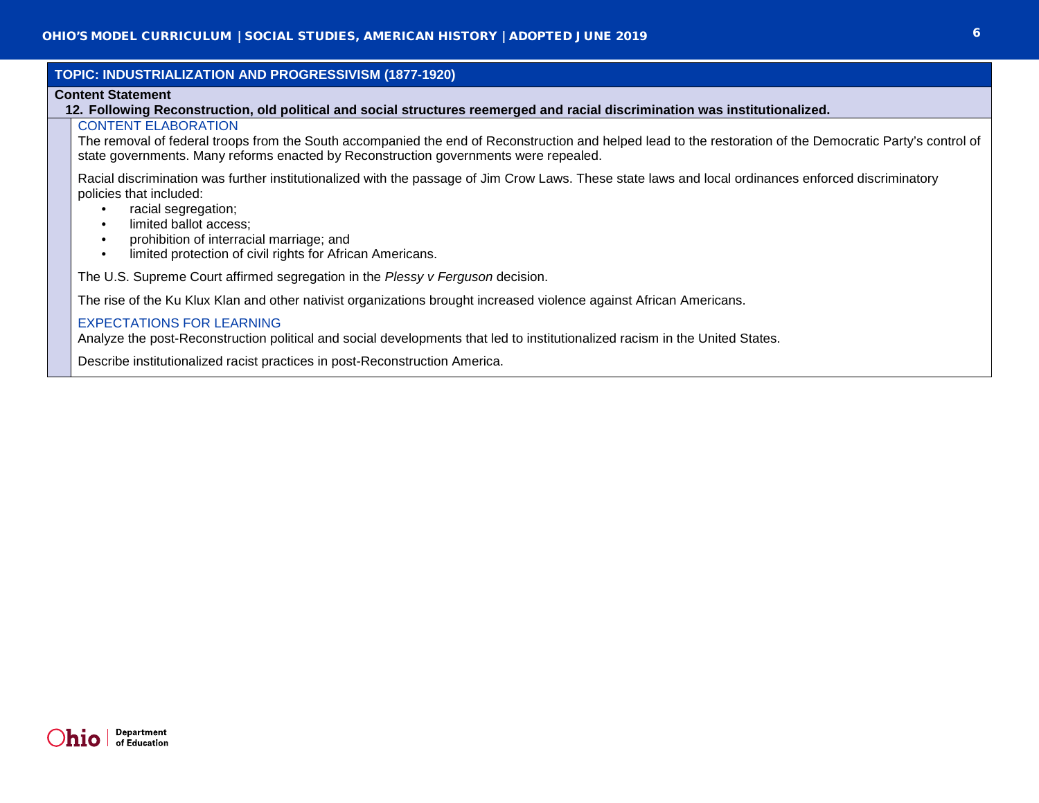|                                                                                                                              | TOPIC: INDUSTRIALIZATION AND PROGRESSIVISM (1877-1920)                                                                                                                                                                                             |  |  |
|------------------------------------------------------------------------------------------------------------------------------|----------------------------------------------------------------------------------------------------------------------------------------------------------------------------------------------------------------------------------------------------|--|--|
| <b>Content Statement</b>                                                                                                     |                                                                                                                                                                                                                                                    |  |  |
| 12. Following Reconstruction, old political and social structures reemerged and racial discrimination was institutionalized. |                                                                                                                                                                                                                                                    |  |  |
|                                                                                                                              | <b>CONTENT ELABORATION</b>                                                                                                                                                                                                                         |  |  |
|                                                                                                                              | The removal of federal troops from the South accompanied the end of Reconstruction and helped lead to the restoration of the Democratic Party's control of<br>state governments. Many reforms enacted by Reconstruction governments were repealed. |  |  |
|                                                                                                                              | Racial discrimination was further institutionalized with the passage of Jim Crow Laws. These state laws and local ordinances enforced discriminatory<br>policies that included:                                                                    |  |  |
|                                                                                                                              | racial segregation;                                                                                                                                                                                                                                |  |  |
|                                                                                                                              | limited ballot access;                                                                                                                                                                                                                             |  |  |
|                                                                                                                              | prohibition of interracial marriage; and                                                                                                                                                                                                           |  |  |
|                                                                                                                              | limited protection of civil rights for African Americans.                                                                                                                                                                                          |  |  |
|                                                                                                                              | The U.S. Supreme Court affirmed segregation in the Plessy v Ferguson decision.                                                                                                                                                                     |  |  |
|                                                                                                                              | The rise of the Ku Klux Klan and other nativist organizations brought increased violence against African Americans.                                                                                                                                |  |  |
|                                                                                                                              | <b>EXPECTATIONS FOR LEARNING</b>                                                                                                                                                                                                                   |  |  |
|                                                                                                                              | Analyze the post-Reconstruction political and social developments that led to institutionalized racism in the United States.                                                                                                                       |  |  |

Describe institutionalized racist practices in post-Reconstruction America.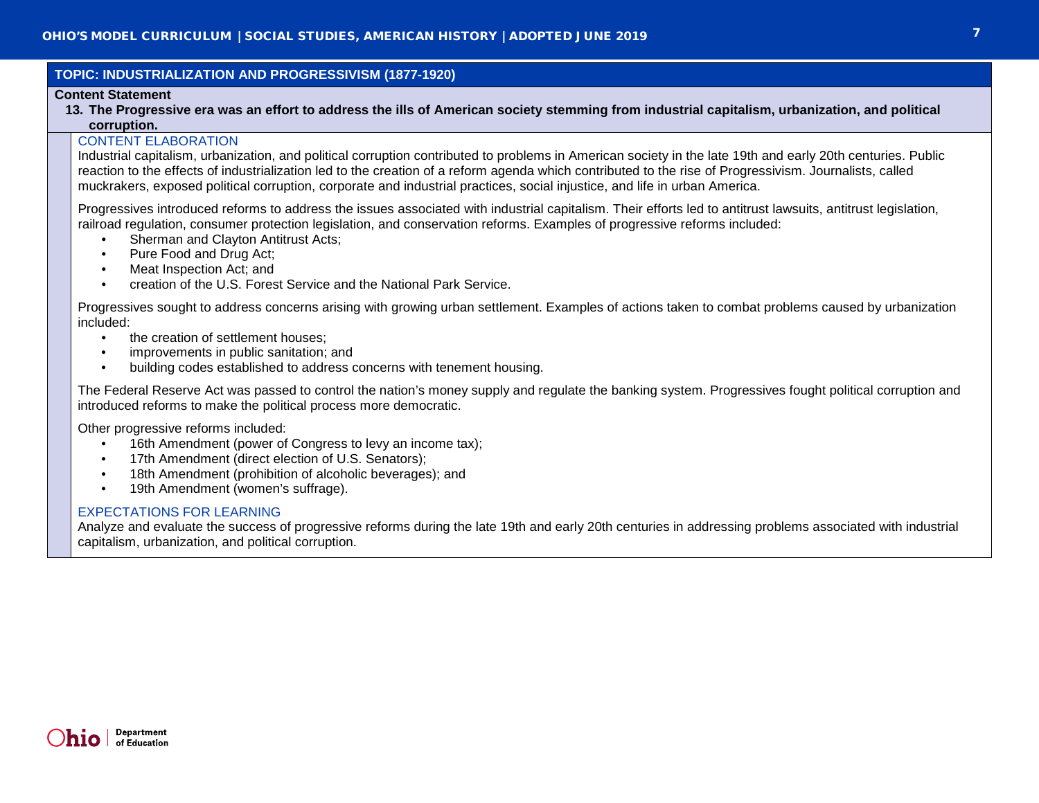# **TOPIC: INDUSTRIALIZATION AND PROGRESSIVISM (1877-1920)**

### **Content Statement**

**13. The Progressive era was an effort to address the ills of American society stemming from industrial capitalism, urbanization, and political corruption.**

## CONTENT ELABORATION

Industrial capitalism, urbanization, and political corruption contributed to problems in American society in the late 19th and early 20th centuries. Public reaction to the effects of industrialization led to the creation of a reform agenda which contributed to the rise of Progressivism. Journalists, called muckrakers, exposed political corruption, corporate and industrial practices, social injustice, and life in urban America.

Progressives introduced reforms to address the issues associated with industrial capitalism. Their efforts led to antitrust lawsuits, antitrust legislation, railroad regulation, consumer protection legislation, and conservation reforms. Examples of progressive reforms included:

- Sherman and Clayton Antitrust Acts:
- Pure Food and Drug Act;
- Meat Inspection Act; and
- creation of the U.S. Forest Service and the National Park Service.

Progressives sought to address concerns arising with growing urban settlement. Examples of actions taken to combat problems caused by urbanization included:

- the creation of settlement houses:
- improvements in public sanitation; and
- building codes established to address concerns with tenement housing.

The Federal Reserve Act was passed to control the nation's money supply and regulate the banking system. Progressives fought political corruption and introduced reforms to make the political process more democratic.

Other progressive reforms included:

- 16th Amendment (power of Congress to levy an income tax);
- 17th Amendment (direct election of U.S. Senators);
- 18th Amendment (prohibition of alcoholic beverages); and
- 19th Amendment (women's suffrage).

## EXPECTATIONS FOR LEARNING

Analyze and evaluate the success of progressive reforms during the late 19th and early 20th centuries in addressing problems associated with industrial capitalism, urbanization, and political corruption.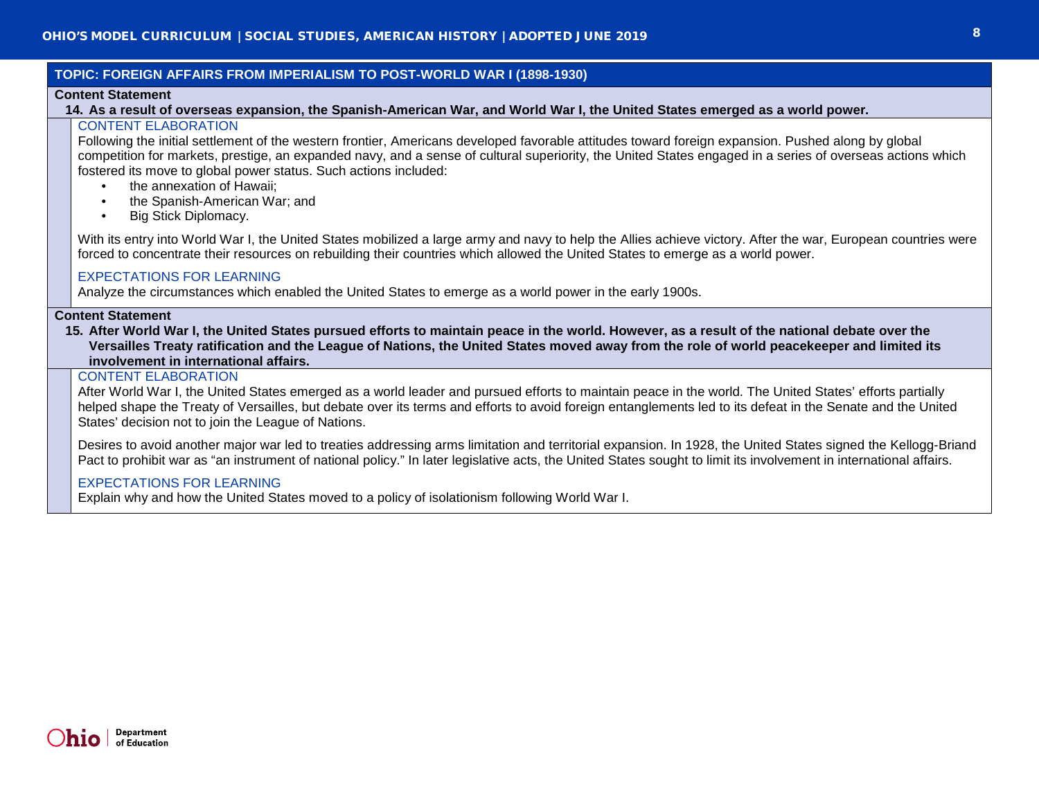## **TOPIC: FOREIGN AFFAIRS FROM IMPERIALISM TO POST-WORLD WAR I (1898-1930)**

## **Content Statement**

## **14. As a result of overseas expansion, the Spanish-American War, and World War I, the United States emerged as a world power.**

# CONTENT ELABORATION

Following the initial settlement of the western frontier, Americans developed favorable attitudes toward foreign expansion. Pushed along by global competition for markets, prestige, an expanded navy, and a sense of cultural superiority, the United States engaged in a series of overseas actions which fostered its move to global power status. Such actions included:

- the annexation of Hawaii:
- the Spanish-American War; and
- Big Stick Diplomacy.

With its entry into World War I, the United States mobilized a large army and navy to help the Allies achieve victory. After the war, European countries were forced to concentrate their resources on rebuilding their countries which allowed the United States to emerge as a world power.

## EXPECTATIONS FOR LEARNING

Analyze the circumstances which enabled the United States to emerge as a world power in the early 1900s.

## **Content Statement**

**15. After World War I, the United States pursued efforts to maintain peace in the world. However, as a result of the national debate over the Versailles Treaty ratification and the League of Nations, the United States moved away from the role of world peacekeeper and limited its involvement in international affairs.**

## CONTENT ELABORATION

After World War I, the United States emerged as a world leader and pursued efforts to maintain peace in the world. The United States' efforts partially helped shape the Treaty of Versailles, but debate over its terms and efforts to avoid foreign entanglements led to its defeat in the Senate and the United States' decision not to join the League of Nations.

Desires to avoid another major war led to treaties addressing arms limitation and territorial expansion. In 1928, the United States signed the Kellogg-Briand Pact to prohibit war as "an instrument of national policy." In later legislative acts, the United States sought to limit its involvement in international affairs.

## EXPECTATIONS FOR LEARNING

Explain why and how the United States moved to a policy of isolationism following World War I.

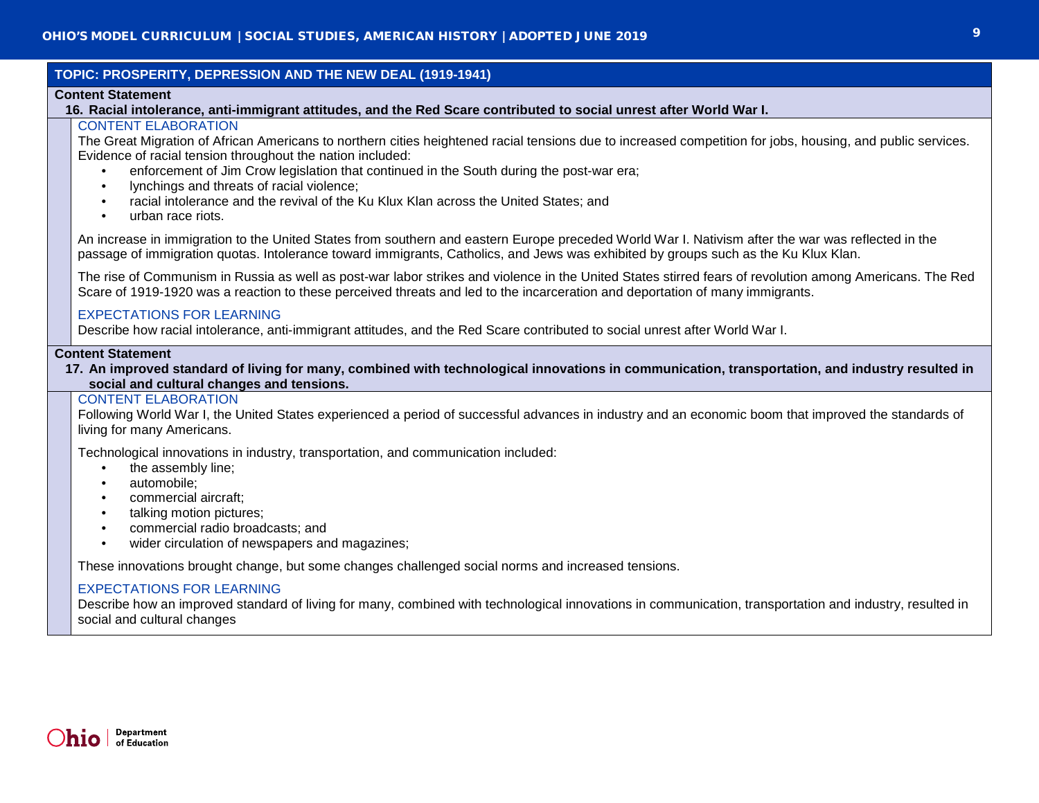| TOPIC: PROSPERITY, DEPRESSION AND THE NEW DEAL (1919-1941)                                                                                                                                                               |                                                                                                                                                                                                                                                                                                                                                                                                                                                                                                                                                                                                                                                                                                                                                                                                                                                   |  |
|--------------------------------------------------------------------------------------------------------------------------------------------------------------------------------------------------------------------------|---------------------------------------------------------------------------------------------------------------------------------------------------------------------------------------------------------------------------------------------------------------------------------------------------------------------------------------------------------------------------------------------------------------------------------------------------------------------------------------------------------------------------------------------------------------------------------------------------------------------------------------------------------------------------------------------------------------------------------------------------------------------------------------------------------------------------------------------------|--|
| <b>Content Statement</b><br>16. Racial intolerance, anti-immigrant attitudes, and the Red Scare contributed to social unrest after World War I.                                                                          |                                                                                                                                                                                                                                                                                                                                                                                                                                                                                                                                                                                                                                                                                                                                                                                                                                                   |  |
|                                                                                                                                                                                                                          | <b>CONTENT ELABORATION</b><br>The Great Migration of African Americans to northern cities heightened racial tensions due to increased competition for jobs, housing, and public services.<br>Evidence of racial tension throughout the nation included:<br>enforcement of Jim Crow legislation that continued in the South during the post-war era;<br>$\bullet$<br>lynchings and threats of racial violence;<br>racial intolerance and the revival of the Ku Klux Klan across the United States; and<br>$\bullet$<br>urban race riots.<br>$\bullet$<br>An increase in immigration to the United States from southern and eastern Europe preceded World War I. Nativism after the war was reflected in the<br>passage of immigration quotas. Intolerance toward immigrants, Catholics, and Jews was exhibited by groups such as the Ku Klux Klan. |  |
|                                                                                                                                                                                                                          | The rise of Communism in Russia as well as post-war labor strikes and violence in the United States stirred fears of revolution among Americans. The Red<br>Scare of 1919-1920 was a reaction to these perceived threats and led to the incarceration and deportation of many immigrants.<br><b>EXPECTATIONS FOR LEARNING</b><br>Describe how racial intolerance, anti-immigrant attitudes, and the Red Scare contributed to social unrest after World War I.                                                                                                                                                                                                                                                                                                                                                                                     |  |
| <b>Content Statement</b><br>17. An improved standard of living for many, combined with technological innovations in communication, transportation, and industry resulted in<br>social and cultural changes and tensions. |                                                                                                                                                                                                                                                                                                                                                                                                                                                                                                                                                                                                                                                                                                                                                                                                                                                   |  |
|                                                                                                                                                                                                                          | <b>CONTENT ELABORATION</b><br>Following World War I, the United States experienced a period of successful advances in industry and an economic boom that improved the standards of<br>living for many Americans.                                                                                                                                                                                                                                                                                                                                                                                                                                                                                                                                                                                                                                  |  |
|                                                                                                                                                                                                                          | Technological innovations in industry, transportation, and communication included:<br>the assembly line;<br>$\bullet$<br>automobile;<br>٠<br>commercial aircraft;<br>$\bullet$<br>talking motion pictures;<br>$\bullet$<br>commercial radio broadcasts; and<br>$\bullet$<br>wider circulation of newspapers and magazines;<br>$\bullet$                                                                                                                                                                                                                                                                                                                                                                                                                                                                                                           |  |
|                                                                                                                                                                                                                          | These innovations brought change, but some changes challenged social norms and increased tensions.                                                                                                                                                                                                                                                                                                                                                                                                                                                                                                                                                                                                                                                                                                                                                |  |
|                                                                                                                                                                                                                          | <b>EXPECTATIONS FOR LEARNING</b><br>Describe how an improved standard of living for many, combined with technological innovations in communication, transportation and industry, resulted in<br>social and cultural changes                                                                                                                                                                                                                                                                                                                                                                                                                                                                                                                                                                                                                       |  |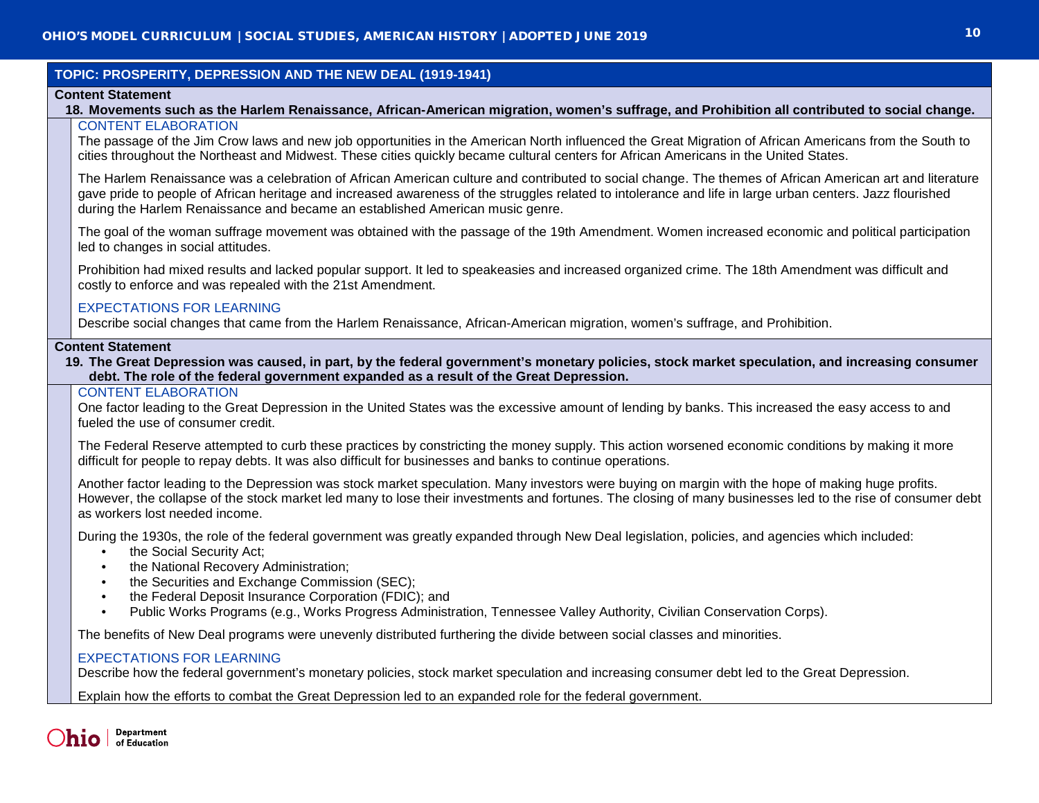# **TOPIC: PROSPERITY, DEPRESSION AND THE NEW DEAL (1919-1941)**

## **Content Statement**

#### **18. Movements such as the Harlem Renaissance, African-American migration, women's suffrage, and Prohibition all contributed to social change.** CONTENT ELABORATION

The passage of the Jim Crow laws and new job opportunities in the American North influenced the Great Migration of African Americans from the South to cities throughout the Northeast and Midwest. These cities quickly became cultural centers for African Americans in the United States.

The Harlem Renaissance was a celebration of African American culture and contributed to social change. The themes of African American art and literature gave pride to people of African heritage and increased awareness of the struggles related to intolerance and life in large urban centers. Jazz flourished during the Harlem Renaissance and became an established American music genre.

The goal of the woman suffrage movement was obtained with the passage of the 19th Amendment. Women increased economic and political participation led to changes in social attitudes.

Prohibition had mixed results and lacked popular support. It led to speakeasies and increased organized crime. The 18th Amendment was difficult and costly to enforce and was repealed with the 21st Amendment.

## EXPECTATIONS FOR LEARNING

Describe social changes that came from the Harlem Renaissance, African-American migration, women's suffrage, and Prohibition.

## **Content Statement**

**19. The Great Depression was caused, in part, by the federal government's monetary policies, stock market speculation, and increasing consumer debt. The role of the federal government expanded as a result of the Great Depression.**

## CONTENT ELABORATION

One factor leading to the Great Depression in the United States was the excessive amount of lending by banks. This increased the easy access to and fueled the use of consumer credit.

The Federal Reserve attempted to curb these practices by constricting the money supply. This action worsened economic conditions by making it more difficult for people to repay debts. It was also difficult for businesses and banks to continue operations.

Another factor leading to the Depression was stock market speculation. Many investors were buying on margin with the hope of making huge profits. However, the collapse of the stock market led many to lose their investments and fortunes. The closing of many businesses led to the rise of consumer debt as workers lost needed income.

During the 1930s, the role of the federal government was greatly expanded through New Deal legislation, policies, and agencies which included:

- the Social Security Act;
- the National Recovery Administration;
- the Securities and Exchange Commission (SEC);
- the Federal Deposit Insurance Corporation (FDIC); and
- Public Works Programs (e.g., Works Progress Administration, Tennessee Valley Authority, Civilian Conservation Corps).

The benefits of New Deal programs were unevenly distributed furthering the divide between social classes and minorities.

## EXPECTATIONS FOR LEARNING

Describe how the federal government's monetary policies, stock market speculation and increasing consumer debt led to the Great Depression.

Explain how the efforts to combat the Great Depression led to an expanded role for the federal government.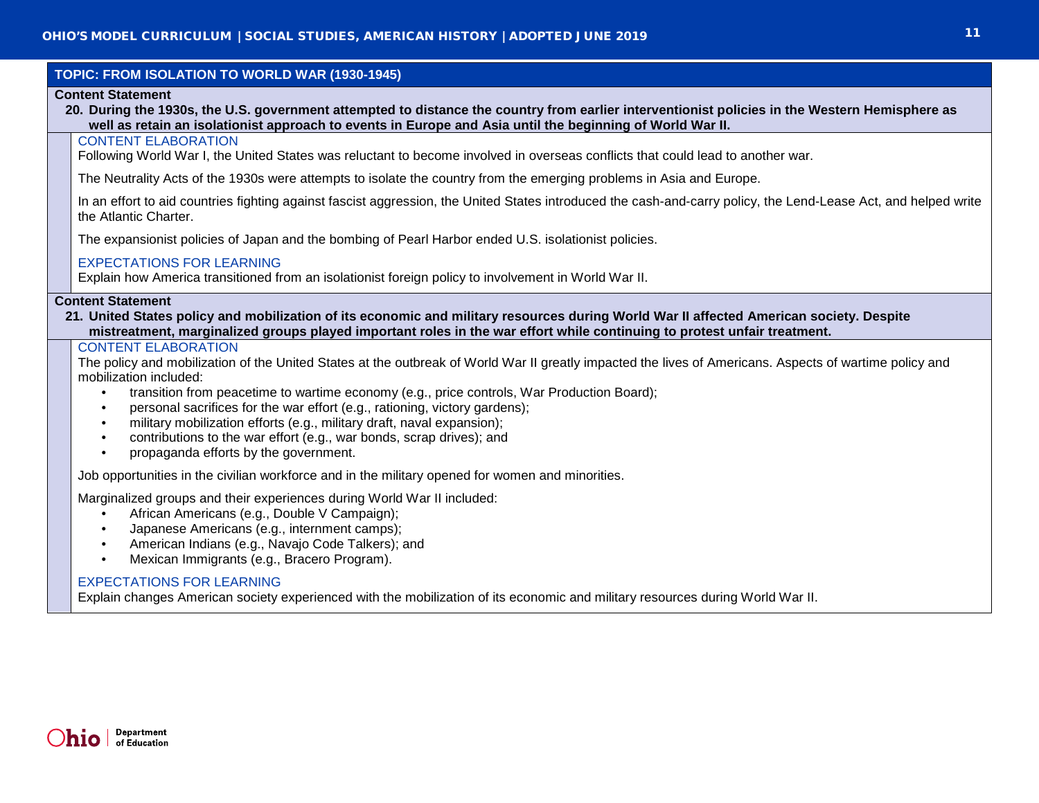| TOPIC: FROM ISOLATION TO WORLD WAR (1930-1945)                                                                                                                                                                                                                                                                                                                                                                                                                                                                                                                                                                                                          |  |  |  |
|---------------------------------------------------------------------------------------------------------------------------------------------------------------------------------------------------------------------------------------------------------------------------------------------------------------------------------------------------------------------------------------------------------------------------------------------------------------------------------------------------------------------------------------------------------------------------------------------------------------------------------------------------------|--|--|--|
| <b>Content Statement</b><br>20. During the 1930s, the U.S. government attempted to distance the country from earlier interventionist policies in the Western Hemisphere as<br>well as retain an isolationist approach to events in Europe and Asia until the beginning of World War II.                                                                                                                                                                                                                                                                                                                                                                 |  |  |  |
| <b>CONTENT ELABORATION</b><br>Following World War I, the United States was reluctant to become involved in overseas conflicts that could lead to another war.                                                                                                                                                                                                                                                                                                                                                                                                                                                                                           |  |  |  |
| The Neutrality Acts of the 1930s were attempts to isolate the country from the emerging problems in Asia and Europe.                                                                                                                                                                                                                                                                                                                                                                                                                                                                                                                                    |  |  |  |
| In an effort to aid countries fighting against fascist aggression, the United States introduced the cash-and-carry policy, the Lend-Lease Act, and helped write<br>the Atlantic Charter.                                                                                                                                                                                                                                                                                                                                                                                                                                                                |  |  |  |
| The expansionist policies of Japan and the bombing of Pearl Harbor ended U.S. isolationist policies.                                                                                                                                                                                                                                                                                                                                                                                                                                                                                                                                                    |  |  |  |
| <b>EXPECTATIONS FOR LEARNING</b><br>Explain how America transitioned from an isolationist foreign policy to involvement in World War II.                                                                                                                                                                                                                                                                                                                                                                                                                                                                                                                |  |  |  |
| <b>Content Statement</b><br>21. United States policy and mobilization of its economic and military resources during World War II affected American society. Despite<br>mistreatment, marginalized groups played important roles in the war effort while continuing to protest unfair treatment.                                                                                                                                                                                                                                                                                                                                                         |  |  |  |
| <b>CONTENT ELABORATION</b><br>The policy and mobilization of the United States at the outbreak of World War II greatly impacted the lives of Americans. Aspects of wartime policy and<br>mobilization included:<br>transition from peacetime to wartime economy (e.g., price controls, War Production Board);<br>$\bullet$<br>personal sacrifices for the war effort (e.g., rationing, victory gardens);<br>$\bullet$<br>military mobilization efforts (e.g., military draft, naval expansion);<br>$\bullet$<br>contributions to the war effort (e.g., war bonds, scrap drives); and<br>$\bullet$<br>propaganda efforts by the government.<br>$\bullet$ |  |  |  |
| Job opportunities in the civilian workforce and in the military opened for women and minorities.                                                                                                                                                                                                                                                                                                                                                                                                                                                                                                                                                        |  |  |  |
| Marginalized groups and their experiences during World War II included:<br>African Americans (e.g., Double V Campaign);<br>$\bullet$<br>Japanese Americans (e.g., internment camps);<br>$\bullet$<br>American Indians (e.g., Navajo Code Talkers); and<br>$\bullet$<br>Mexican Immigrants (e.g., Bracero Program).<br><b>EVOECTATIONS FOR LEADMING</b>                                                                                                                                                                                                                                                                                                  |  |  |  |
|                                                                                                                                                                                                                                                                                                                                                                                                                                                                                                                                                                                                                                                         |  |  |  |

## EXPECTATIONS FOR LEARNING

Explain changes American society experienced with the mobilization of its economic and military resources during World War II.

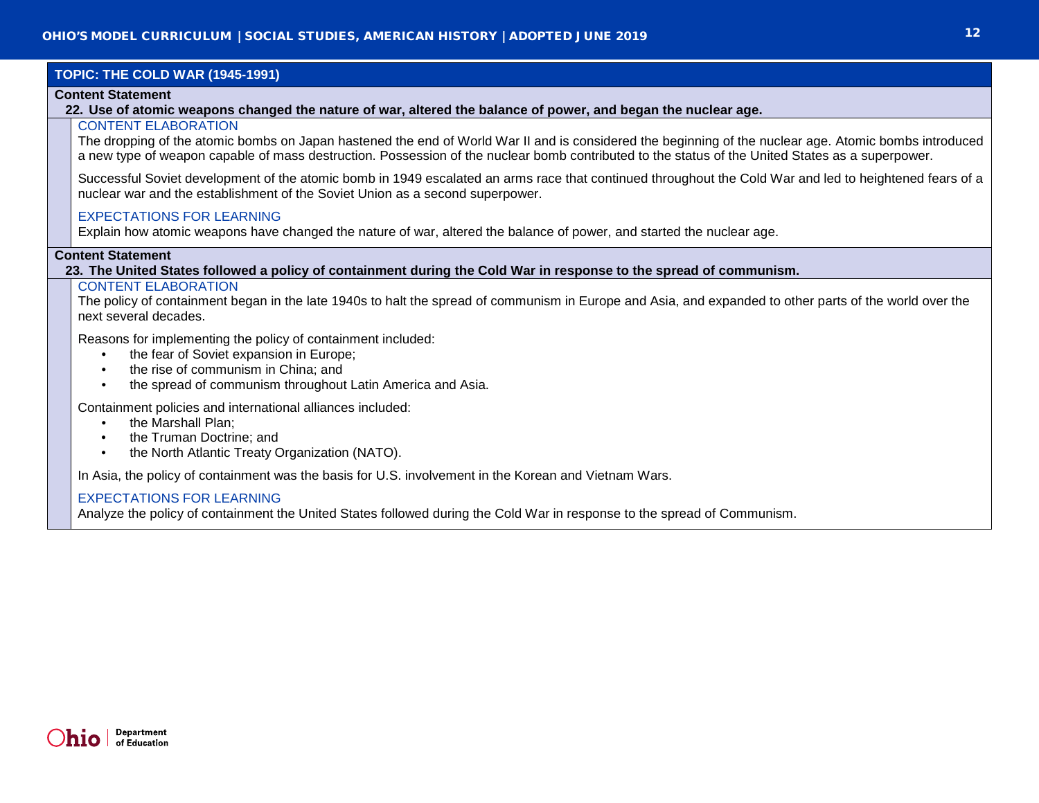# **TOPIC: THE COLD WAR (1945-1991)**

## **Content Statement**

**22. Use of atomic weapons changed the nature of war, altered the balance of power, and began the nuclear age.**

## CONTENT ELABORATION

The dropping of the atomic bombs on Japan hastened the end of World War II and is considered the beginning of the nuclear age. Atomic bombs introduced a new type of weapon capable of mass destruction. Possession of the nuclear bomb contributed to the status of the United States as a superpower.

Successful Soviet development of the atomic bomb in 1949 escalated an arms race that continued throughout the Cold War and led to heightened fears of a nuclear war and the establishment of the Soviet Union as a second superpower.

## EXPECTATIONS FOR LEARNING

Explain how atomic weapons have changed the nature of war, altered the balance of power, and started the nuclear age.

#### **Content Statement**

**23. The United States followed a policy of containment during the Cold War in response to the spread of communism.**

# CONTENT ELABORATION

The policy of containment began in the late 1940s to halt the spread of communism in Europe and Asia, and expanded to other parts of the world over the next several decades.

Reasons for implementing the policy of containment included:

- the fear of Soviet expansion in Europe:
- the rise of communism in China: and
- the spread of communism throughout Latin America and Asia.

Containment policies and international alliances included:

- the Marshall Plan;
- the Truman Doctrine: and
- the North Atlantic Treaty Organization (NATO).

In Asia, the policy of containment was the basis for U.S. involvement in the Korean and Vietnam Wars.

## EXPECTATIONS FOR LEARNING

Analyze the policy of containment the United States followed during the Cold War in response to the spread of Communism.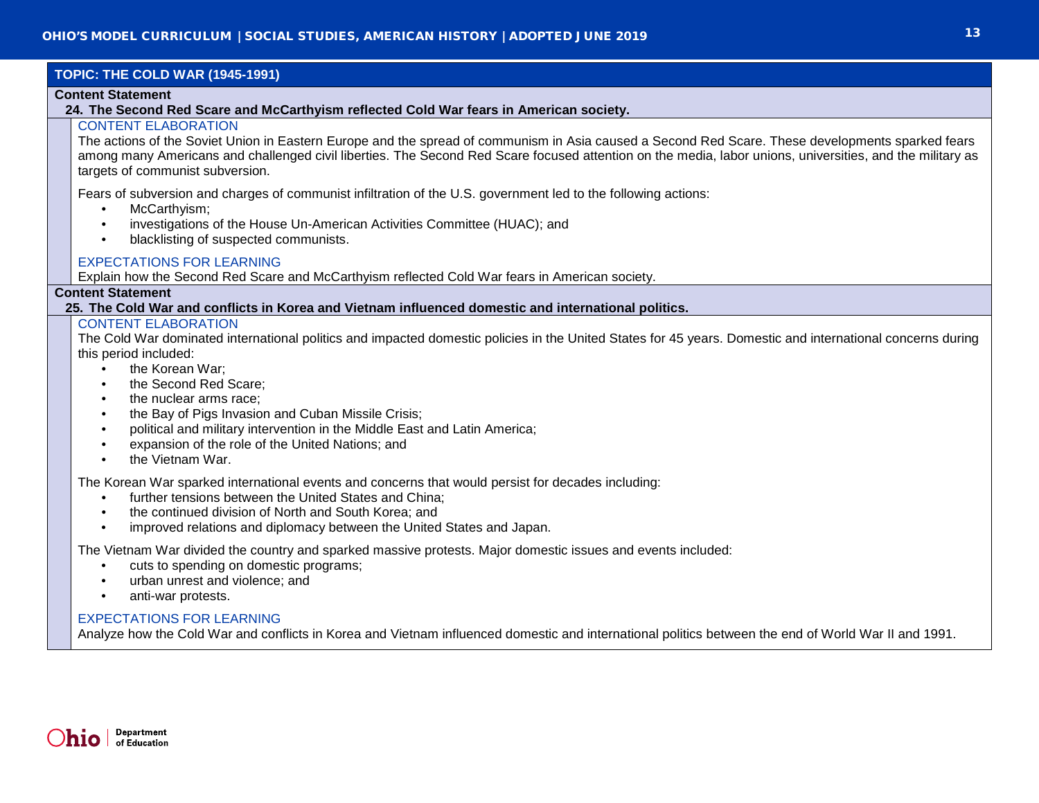# **TOPIC: THE COLD WAR (1945-1991)**

## **Content Statement**

**24. The Second Red Scare and McCarthyism reflected Cold War fears in American society.**

# CONTENT ELABORATION

The actions of the Soviet Union in Eastern Europe and the spread of communism in Asia caused a Second Red Scare. These developments sparked fears among many Americans and challenged civil liberties. The Second Red Scare focused attention on the media, labor unions, universities, and the military as targets of communist subversion.

Fears of subversion and charges of communist infiltration of the U.S. government led to the following actions:

- McCarthyism;
- investigations of the House Un-American Activities Committee (HUAC); and
- blacklisting of suspected communists.

# EXPECTATIONS FOR LEARNING

Explain how the Second Red Scare and McCarthyism reflected Cold War fears in American society.

# **Content Statement**

**25. The Cold War and conflicts in Korea and Vietnam influenced domestic and international politics.**

## CONTENT ELABORATION

The Cold War dominated international politics and impacted domestic policies in the United States for 45 years. Domestic and international concerns during this period included:

- the Korean War:
- the Second Red Scare;
- the nuclear arms race;
- the Bay of Pigs Invasion and Cuban Missile Crisis;
- political and military intervention in the Middle East and Latin America;
- expansion of the role of the United Nations; and
- the Vietnam War.

The Korean War sparked international events and concerns that would persist for decades including:

- further tensions between the United States and China;
- the continued division of North and South Korea; and
- improved relations and diplomacy between the United States and Japan.

The Vietnam War divided the country and sparked massive protests. Major domestic issues and events included:

- cuts to spending on domestic programs;
- urban unrest and violence; and
- anti-war protests.

## EXPECTATIONS FOR LEARNING

Analyze how the Cold War and conflicts in Korea and Vietnam influenced domestic and international politics between the end of World War II and 1991.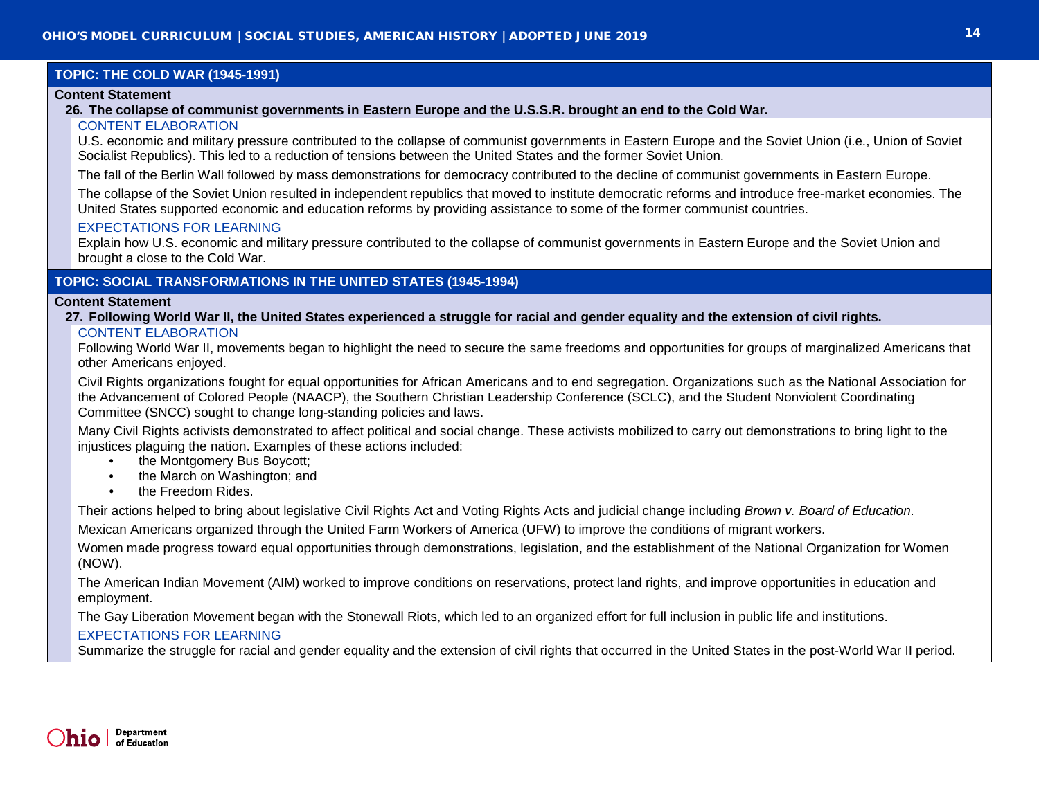# **TOPIC: THE COLD WAR (1945-1991)**

## **Content Statement**

**26. The collapse of communist governments in Eastern Europe and the U.S.S.R. brought an end to the Cold War.**

# CONTENT ELABORATION

U.S. economic and military pressure contributed to the collapse of communist governments in Eastern Europe and the Soviet Union (i.e., Union of Soviet Socialist Republics). This led to a reduction of tensions between the United States and the former Soviet Union.

The fall of the Berlin Wall followed by mass demonstrations for democracy contributed to the decline of communist governments in Eastern Europe.

The collapse of the Soviet Union resulted in independent republics that moved to institute democratic reforms and introduce free-market economies. The United States supported economic and education reforms by providing assistance to some of the former communist countries.

## EXPECTATIONS FOR LEARNING

Explain how U.S. economic and military pressure contributed to the collapse of communist governments in Eastern Europe and the Soviet Union and brought a close to the Cold War.

# **TOPIC: SOCIAL TRANSFORMATIONS IN THE UNITED STATES (1945-1994)**

## **Content Statement**

**27. Following World War II, the United States experienced a struggle for racial and gender equality and the extension of civil rights.**

## CONTENT ELABORATION

Following World War II, movements began to highlight the need to secure the same freedoms and opportunities for groups of marginalized Americans that other Americans enjoyed.

Civil Rights organizations fought for equal opportunities for African Americans and to end segregation. Organizations such as the National Association for the Advancement of Colored People (NAACP), the Southern Christian Leadership Conference (SCLC), and the Student Nonviolent Coordinating Committee (SNCC) sought to change long-standing policies and laws.

Many Civil Rights activists demonstrated to affect political and social change. These activists mobilized to carry out demonstrations to bring light to the injustices plaguing the nation. Examples of these actions included:

- the Montgomery Bus Boycott:
- the March on Washington; and
- the Freedom Rides.

Their actions helped to bring about legislative Civil Rights Act and Voting Rights Acts and judicial change including *Brown v. Board of Education*.

Mexican Americans organized through the United Farm Workers of America (UFW) to improve the conditions of migrant workers.

Women made progress toward equal opportunities through demonstrations, legislation, and the establishment of the National Organization for Women (NOW).

The American Indian Movement (AIM) worked to improve conditions on reservations, protect land rights, and improve opportunities in education and employment.

The Gay Liberation Movement began with the Stonewall Riots, which led to an organized effort for full inclusion in public life and institutions.

## EXPECTATIONS FOR LEARNING

Summarize the struggle for racial and gender equality and the extension of civil rights that occurred in the United States in the post-World War II period.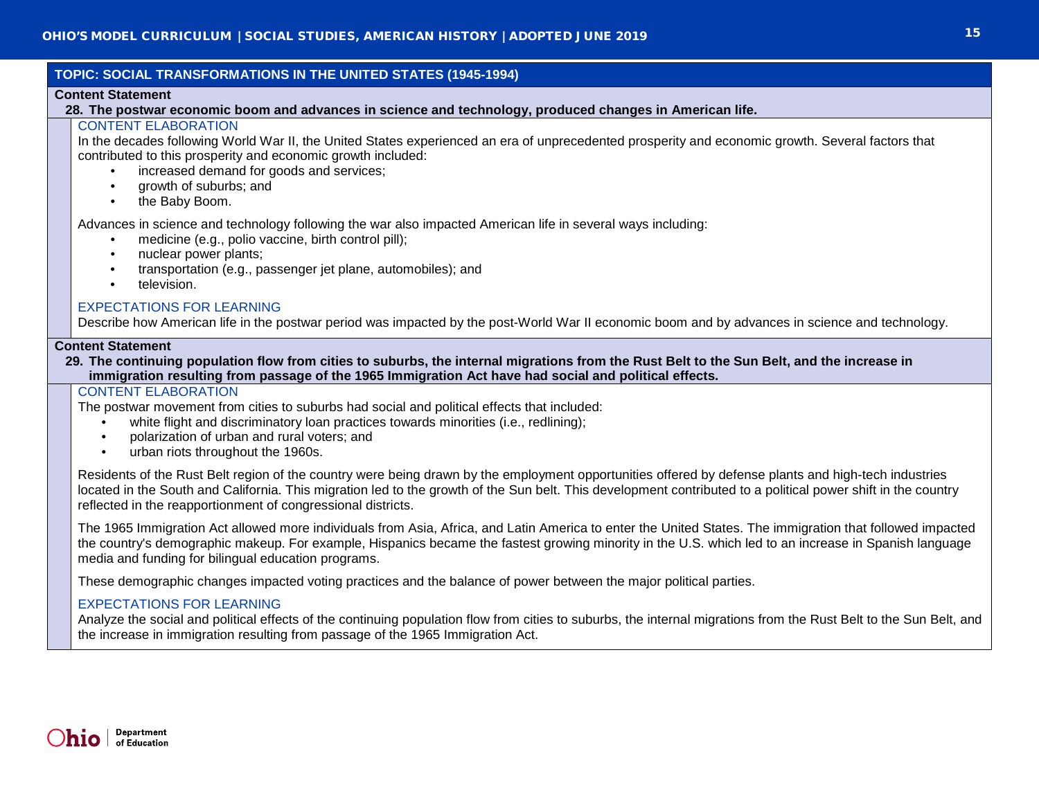# **TOPIC: SOCIAL TRANSFORMATIONS IN THE UNITED STATES (1945-1994)**

## **Content Statement**

**28. The postwar economic boom and advances in science and technology, produced changes in American life.**

# CONTENT ELABORATION

In the decades following World War II, the United States experienced an era of unprecedented prosperity and economic growth. Several factors that contributed to this prosperity and economic growth included:

- increased demand for goods and services;
- growth of suburbs; and
- the Baby Boom.

Advances in science and technology following the war also impacted American life in several ways including:

- medicine (e.g., polio vaccine, birth control pill);
- nuclear power plants:
- transportation (e.g., passenger jet plane, automobiles); and
- television.

# EXPECTATIONS FOR LEARNING

Describe how American life in the postwar period was impacted by the post-World War II economic boom and by advances in science and technology.

## **Content Statement**

**29. The continuing population flow from cities to suburbs, the internal migrations from the Rust Belt to the Sun Belt, and the increase in immigration resulting from passage of the 1965 Immigration Act have had social and political effects.**

## CONTENT ELABORATION

The postwar movement from cities to suburbs had social and political effects that included:

- white flight and discriminatory loan practices towards minorities (i.e., redlining);
- polarization of urban and rural voters; and
- urban riots throughout the 1960s.

Residents of the Rust Belt region of the country were being drawn by the employment opportunities offered by defense plants and high-tech industries located in the South and California. This migration led to the growth of the Sun belt. This development contributed to a political power shift in the country reflected in the reapportionment of congressional districts.

The 1965 Immigration Act allowed more individuals from Asia, Africa, and Latin America to enter the United States. The immigration that followed impacted the country's demographic makeup. For example, Hispanics became the fastest growing minority in the U.S. which led to an increase in Spanish language media and funding for bilingual education programs.

These demographic changes impacted voting practices and the balance of power between the major political parties.

# EXPECTATIONS FOR LEARNING

Analyze the social and political effects of the continuing population flow from cities to suburbs, the internal migrations from the Rust Belt to the Sun Belt, and the increase in immigration resulting from passage of the 1965 Immigration Act.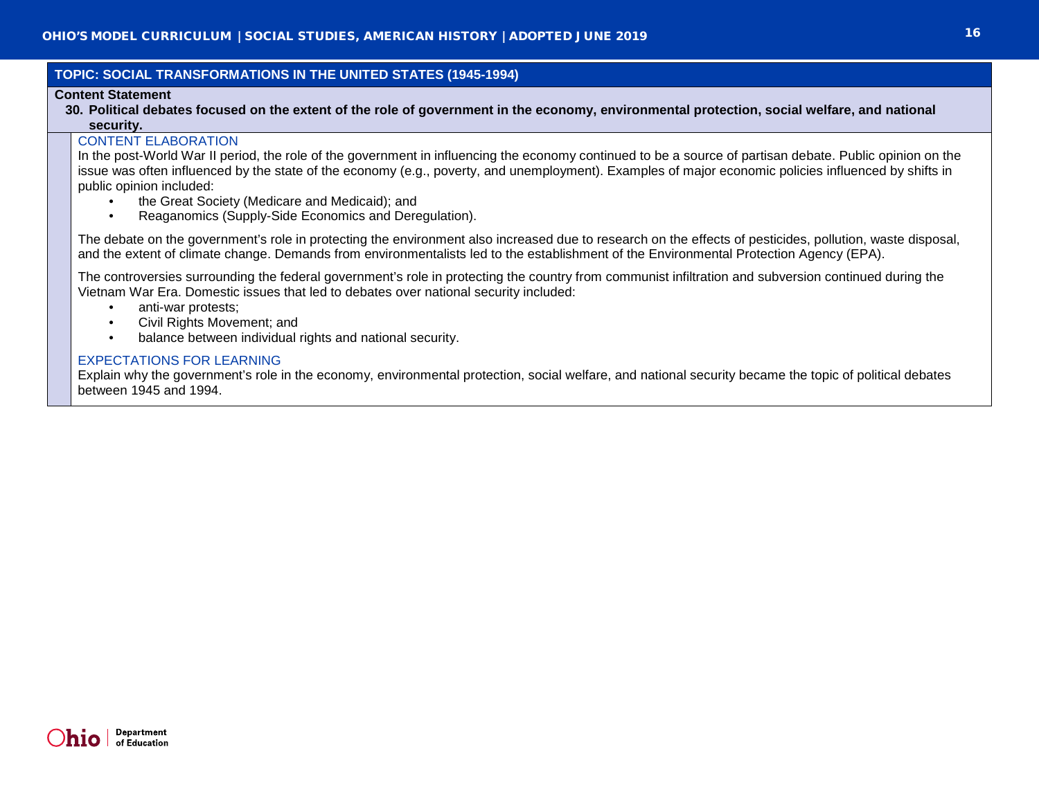## **TOPIC: SOCIAL TRANSFORMATIONS IN THE UNITED STATES (1945-1994)**

## **Content Statement**

**30. Political debates focused on the extent of the role of government in the economy, environmental protection, social welfare, and national security.**

## CONTENT ELABORATION

In the post-World War II period, the role of the government in influencing the economy continued to be a source of partisan debate. Public opinion on the issue was often influenced by the state of the economy (e.g., poverty, and unemployment). Examples of major economic policies influenced by shifts in public opinion included:

- the Great Society (Medicare and Medicaid); and
- Reaganomics (Supply-Side Economics and Deregulation).

The debate on the government's role in protecting the environment also increased due to research on the effects of pesticides, pollution, waste disposal, and the extent of climate change. Demands from environmentalists led to the establishment of the Environmental Protection Agency (EPA).

The controversies surrounding the federal government's role in protecting the country from communist infiltration and subversion continued during the Vietnam War Era. Domestic issues that led to debates over national security included:

- anti-war protests:
- Civil Rights Movement; and
- balance between individual rights and national security.

## EXPECTATIONS FOR LEARNING

Explain why the government's role in the economy, environmental protection, social welfare, and national security became the topic of political debates between 1945 and 1994.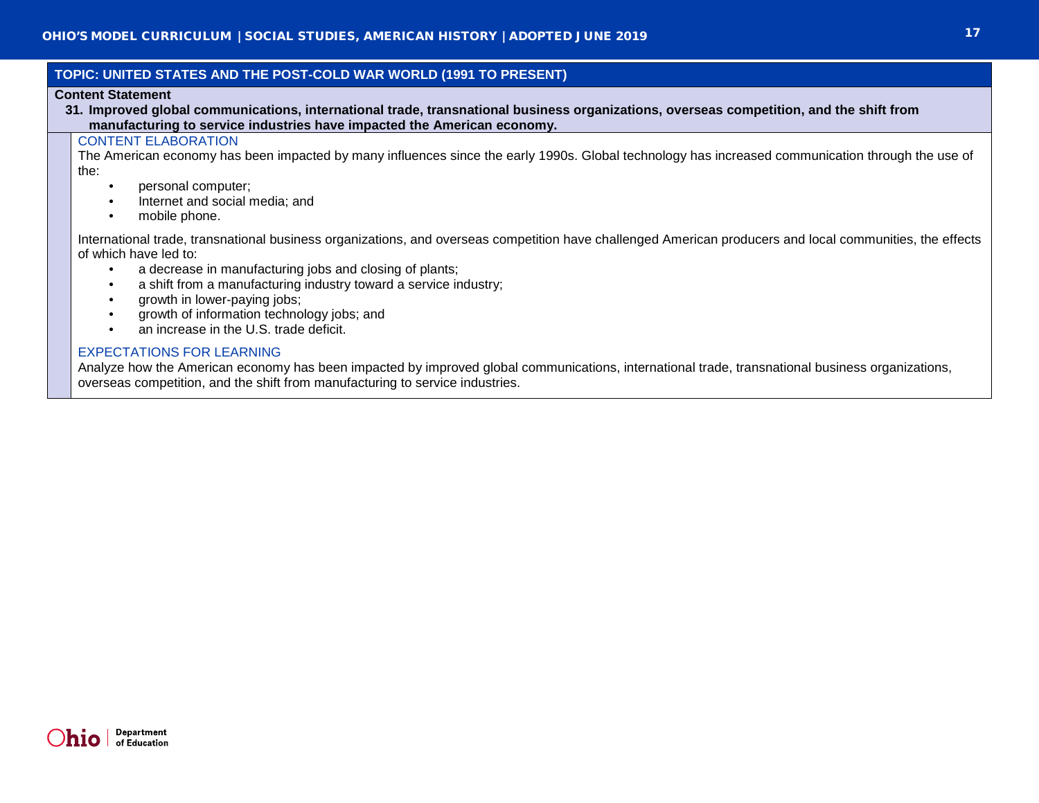## **TOPIC: UNITED STATES AND THE POST-COLD WAR WORLD (1991 TO PRESENT)**

## **Content Statement**

**31. Improved global communications, international trade, transnational business organizations, overseas competition, and the shift from manufacturing to service industries have impacted the American economy.**

## CONTENT ELABORATION

The American economy has been impacted by many influences since the early 1990s. Global technology has increased communication through the use of the:

- personal computer;
- Internet and social media; and
- mobile phone.

International trade, transnational business organizations, and overseas competition have challenged American producers and local communities, the effects of which have led to:

- a decrease in manufacturing jobs and closing of plants;
- a shift from a manufacturing industry toward a service industry;
- growth in lower-paying jobs;
- growth of information technology jobs; and
- an increase in the U.S. trade deficit.

## EXPECTATIONS FOR LEARNING

Analyze how the American economy has been impacted by improved global communications, international trade, transnational business organizations, overseas competition, and the shift from manufacturing to service industries.

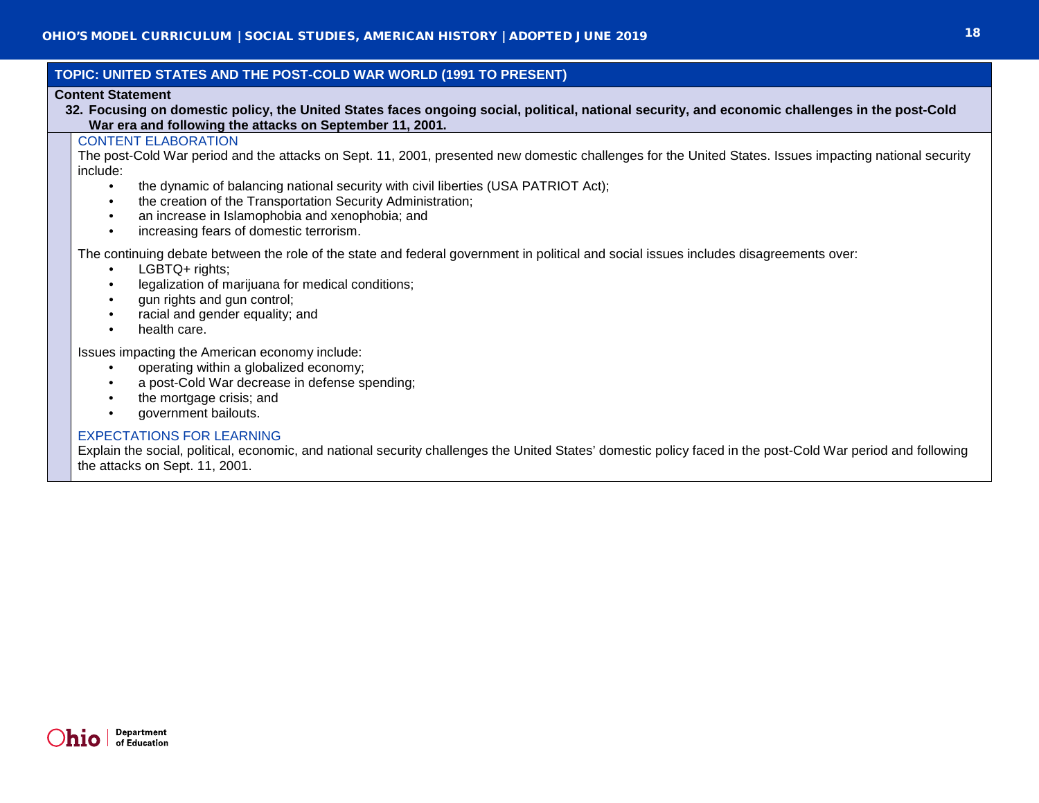## **TOPIC: UNITED STATES AND THE POST-COLD WAR WORLD (1991 TO PRESENT)**

## **Content Statement**

**32. Focusing on domestic policy, the United States faces ongoing social, political, national security, and economic challenges in the post-Cold War era and following the attacks on September 11, 2001.**

## CONTENT ELABORATION

The post-Cold War period and the attacks on Sept. 11, 2001, presented new domestic challenges for the United States. Issues impacting national security include:

- the dynamic of balancing national security with civil liberties (USA PATRIOT Act);
- the creation of the Transportation Security Administration;
- an increase in Islamophobia and xenophobia; and
- increasing fears of domestic terrorism.

The continuing debate between the role of the state and federal government in political and social issues includes disagreements over:

- LGBTQ+ rights:
- legalization of marijuana for medical conditions;
- gun rights and gun control;
- racial and gender equality; and
- health care.

Issues impacting the American economy include:

- operating within a globalized economy;
- a post-Cold War decrease in defense spending;
- the mortgage crisis; and
- government bailouts.

## EXPECTATIONS FOR LEARNING

Explain the social, political, economic, and national security challenges the United States' domestic policy faced in the post-Cold War period and following the attacks on Sept. 11, 2001.